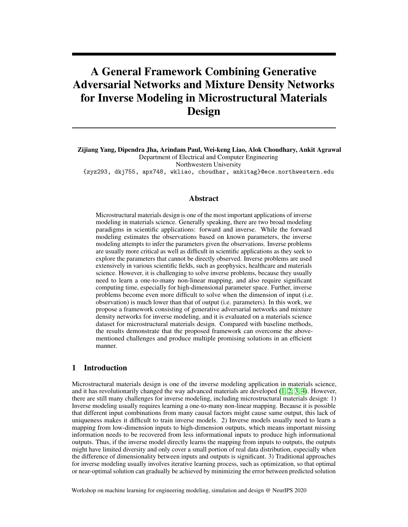# A General Framework Combining Generative Adversarial Networks and Mixture Density Networks for Inverse Modeling in Microstructural Materials Design

Zijiang Yang, Dipendra Jha, Arindam Paul, Wei-keng Liao, Alok Choudhary, Ankit Agrawal Department of Electrical and Computer Engineering

Northwestern University

{zyz293, dkj755, apx748, wkliao, choudhar, ankitag}@ece.northwestern.edu

## Abstract

Microstructural materials design is one of the most important applications of inverse modeling in materials science. Generally speaking, there are two broad modeling paradigms in scientific applications: forward and inverse. While the forward modeling estimates the observations based on known parameters, the inverse modeling attempts to infer the parameters given the observations. Inverse problems are usually more critical as well as difficult in scientific applications as they seek to explore the parameters that cannot be directly observed. Inverse problems are used extensively in various scientific fields, such as geophysics, healthcare and materials science. However, it is challenging to solve inverse problems, because they usually need to learn a one-to-many non-linear mapping, and also require significant computing time, especially for high-dimensional parameter space. Further, inverse problems become even more difficult to solve when the dimension of input (i.e. observation) is much lower than that of output (i.e. parameters). In this work, we propose a framework consisting of generative adversarial networks and mixture density networks for inverse modeling, and it is evaluated on a materials science dataset for microstructural materials design. Compared with baseline methods, the results demonstrate that the proposed framework can overcome the abovementioned challenges and produce multiple promising solutions in an efficient manner.

## 1 Introduction

Microstructural materials design is one of the inverse modeling application in materials science, and it has revolutionarily changed the way advanced materials are developed [\(1;](#page-5-0) [2;](#page-6-0) [3;](#page-6-1) [4\)](#page-6-2). However, there are still many challenges for inverse modeling, including microstructural materials design: 1) Inverse modeling usually requires learning a one-to-many non-linear mapping. Because it is possible that different input combinations from many causal factors might cause same output, this lack of uniqueness makes it difficult to train inverse models. 2) Inverse models usually need to learn a mapping from low-dimension inputs to high-dimension outputs, which means important missing information needs to be recovered from less informational inputs to produce high informational outputs. Thus, if the inverse model directly learns the mapping from inputs to outputs, the outputs might have limited diversity and only cover a small portion of real data distribution, especially when the difference of dimensionality between inputs and outputs is significant. 3) Traditional approaches for inverse modeling usually involves iterative learning process, such as optimization, so that optimal or near-optimal solution can gradually be achieved by minimizing the error between predicted solution

Workshop on machine learning for engineering modeling, simulation and design @ NeurIPS 2020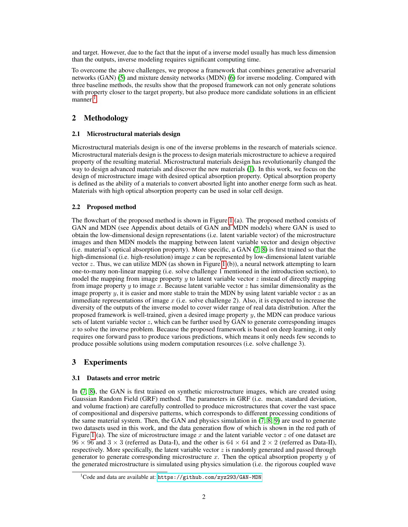and target. However, due to the fact that the input of a inverse model usually has much less dimension than the outputs, inverse modeling requires significant computing time.

To overcome the above challenges, we propose a framework that combines generative adversarial networks (GAN) [\(5\)](#page-6-3) and mixture density networks (MDN) [\(6\)](#page-6-4) for inverse modeling. Compared with three baseline methods, the results show that the proposed framework can not only generate solutions with property closer to the target property, but also produce more candidate solutions in an efficient manner<sup>[1](#page-1-0)</sup>.

## 2 Methodology

## 2.1 Microstructural materials design

Microstructural materials design is one of the inverse problems in the research of materials science. Microstructural materials design is the process to design materials microstructure to achieve a required property of the resulting material. Microstructural materials design has revolutionarily changed the way to design advanced materials and discover the new materials [\(1\)](#page-5-0). In this work, we focus on the design of microstructure image with desired optical absorption property. Optical absorption property is defined as the ability of a materials to convert abosrted light into another energe form such as heat. Materials with high optical absorption property can be used in solar cell design.

## 2.2 Proposed method

The flowchart of the proposed method is shown in Figure [1](#page-2-0) (a). The proposed method consists of GAN and MDN (see Appendix about details of GAN and MDN models) where GAN is used to obtain the low-dimensional design representations (i.e. latent variable vector) of the microstructure images and then MDN models the mapping between latent variable vector and design objective (i.e. material's optical absorption property). More specific, a GAN [\(7;](#page-6-5) [8\)](#page-6-6) is first trained so that the high-dimensional (i.e. high-resolution) image  $x$  can be represented by low-dimensional latent variable vector z. Thus, we can utilize MDN (as shown in Figure [1](#page-2-0) (b)), a neural network attempting to learn one-to-many non-linear mapping (i.e. solve challenge 1 mentioned in the introduction section), to model the mapping from image property  $y$  to latent variable vector  $z$  instead of directly mapping from image property  $y$  to image  $x$ . Because latent variable vector  $z$  has similar dimensionality as the image property y, it is easier and more stable to train the MDN by using latent variable vector  $z$  as an immediate representations of image  $x$  (i.e. solve challenge 2). Also, it is expected to increase the diversity of the outputs of the inverse model to cover wider range of real data distribution. After the proposed framework is well-trained, given a desired image property y, the MDN can produce various sets of latent variable vector  $z$ , which can be further used by GAN to generate corresponding images  $x$  to solve the inverse problem. Because the proposed framework is based on deep learning, it only requires one forward pass to produce various predictions, which means it only needs few seconds to produce possible solutions using modern computation resources (i.e. solve challenge 3).

# 3 Experiments

## 3.1 Datasets and error metric

In [\(7;](#page-6-5) [8\)](#page-6-6), the GAN is first trained on synthetic microstructure images, which are created using Gaussian Random Field (GRF) method. The parameters in GRF (i.e. mean, standard deviation, and volume fraction) are carefully controlled to produce microstructures that cover the vast space of compositional and dispersive patterns, which corresponds to different processing conditions of the same material system. Then, the GAN and physics simulation in  $(7, 8, 9)$  $(7, 8, 9)$  are used to generate two datasets used in this work, and the data generation flow of which is shown in the red path of Figure [1](#page-2-0) (a). The size of microstructure image x and the latent variable vector z of one dataset are  $96 \times 96$  and  $3 \times 3$  (referred as Data-I), and the other is  $64 \times 64$  and  $2 \times 2$  (referred as Data-II), respectively. More specifically, the latent variable vector  $z$  is randomly generated and passed through generator to generate corresponding microstructure x. Then the optical absorption property  $y$  of the generated microstructure is simulated using physics simulation (i.e. the rigorous coupled wave

<span id="page-1-0"></span> $1^1$ Code and data are available at: <https://github.com/zyz293/GAN-MDN>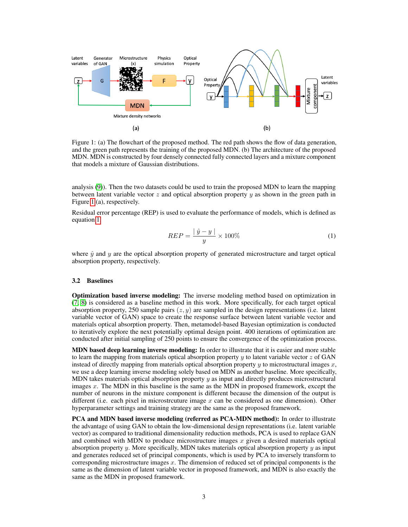

<span id="page-2-0"></span>Figure 1: (a) The flowchart of the proposed method. The red path shows the flow of data generation, and the green path represents the training of the proposed MDN. (b) The architecture of the proposed MDN. MDN is constructed by four densely connected fully connected layers and a mixture component that models a mixture of Gaussian distributions.

analysis [\(9\)](#page-6-7)). Then the two datasets could be used to train the proposed MDN to learn the mapping between latent variable vector  $z$  and optical absorption property  $y$  as shown in the green path in Figure [1](#page-2-0) (a), respectively.

<span id="page-2-1"></span>Residual error percentage (REP) is used to evaluate the performance of models, which is defined as equation [1,](#page-2-1)

$$
REP = \frac{|\hat{y} - y|}{y} \times 100\%
$$
 (1)

where  $\hat{y}$  and y are the optical absorption property of generated microstructure and target optical absorption property, respectively.

#### 3.2 Baselines

Optimization based inverse modeling: The inverse modeling method based on optimization in [\(7;](#page-6-5) [8\)](#page-6-6) is considered as a baseline method in this work. More specifically, for each target optical absorption property, 250 sample pairs  $(z, y)$  are sampled in the design representations (i.e. latent variable vector of GAN) space to create the response surface between latent variable vector and materials optical absorption property. Then, metamodel-based Bayesian optimization is conducted to iteratively explore the next potentially optimal design point. 400 iterations of optimization are conducted after initial sampling of 250 points to ensure the convergence of the optimization process.

**MDN** based deep learning inverse modeling: In order to illustrate that it is easier and more stable to learn the mapping from materials optical absorption property  $y$  to latent variable vector  $z$  of GAN instead of directly mapping from materials optical absorption property  $y$  to microstructural images  $x$ , we use a deep learning inverse modeling solely based on MDN as another baseline. More specifically, MDN takes materials optical absorption property  $y$  as input and directly produces microstructural images x. The MDN in this baseline is the same as the MDN in proposed framework, except the number of neurons in the mixture component is different because the dimension of the output is different (i.e. each pixel in microstrcuture image  $x$  can be considered as one dimension). Other hyperparameter settings and training strategy are the same as the proposed framework.

PCA and MDN based inverse modeling (referred as PCA-MDN method): In order to illustrate the advantage of using GAN to obtain the low-dimensional design representations (i.e. latent variable vector) as compared to traditional dimensionality reduction methods, PCA is used to replace GAN and combined with MDN to produce microstructure images  $x$  given a desired materials optical absorption property  $y$ . More specifically, MDN takes materials optical absorption property  $y$  as input and generates reduced set of principal components, which is used by PCA to inversely transform to corresponding microstructure images x. The dimension of reduced set of principal components is the same as the dimension of latent variable vector in proposed framework, and MDN is also exactly the same as the MDN in proposed framework.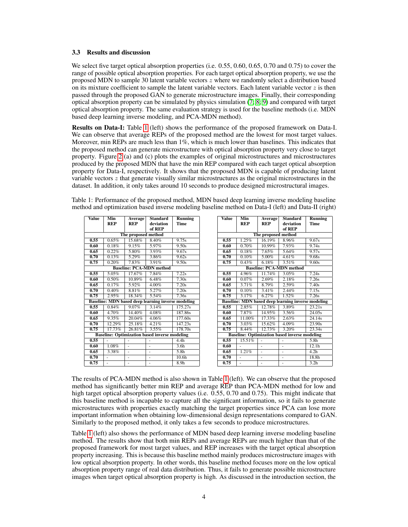#### 3.3 Results and discussion

We select five target optical absorption properties (i.e. 0.55, 0.60, 0.65, 0.70 and 0.75) to cover the range of possible optical absorption properties. For each target optical absorption property, we use the proposed MDN to sample 30 latent variable vectors  $z$  where we randomly select a distribution based on its mixture coefficient to sample the latent variable vectors. Each latent variable vector  $z$  is then passed through the proposed GAN to generate microstructure images. Finally, their corresponding optical absorption property can be simulated by physics simulation  $(7, 8, 9)$  $(7, 8, 9)$  and compared with target optical absorption property. The same evaluation strategy is used for the baseline methods (i.e. MDN based deep learning inverse modeling, and PCA-MDN method).

Results on Data-I: Table [1](#page-3-0) (left) shows the performance of the proposed framework on Data-I. We can observe that average REPs of the proposed method are the lowest for most target values. Moreover, min REPs are much less than  $1\%$ , which is much lower than baselines. This indicates that the proposed method can generate microstructure with optical absorption property very close to target property. Figure [2](#page-4-0) (a) and (c) plots the examples of original microstructures and microstructures produced by the proposed MDN that have the min REP compared with each target optical absorption property for Data-I, respectively. It shows that the proposed MDN is capable of producing latent variable vectors  $z$  that generate visually similar microstructures as the original microstructures in the dataset. In addition, it only takes around 10 seconds to produce designed microstructural images.

Table 1: Performance of the proposed method, MDN based deep learning inverse modeling baseline method and optimization based inverse modeling baseline method on Data-I (left) and Data-II (right)

<span id="page-3-0"></span>

| <b>Value</b> | <b>Min</b> | Average             | <b>Standard</b>                                           | <b>Running</b>    |  |
|--------------|------------|---------------------|-----------------------------------------------------------|-------------------|--|
|              | <b>REP</b> | <b>REP</b>          | deviation                                                 | Time              |  |
|              |            |                     | of REP                                                    |                   |  |
|              |            | The proposed method |                                                           |                   |  |
| 0.55         | 0.65%      | 15.68%              | 8.40%                                                     | 9.75s             |  |
| 0.60         | 0.18%      | 9.15%               | 5.97%                                                     | 9.50s             |  |
| 0.65         | 0.22%      | 5.80%               | 3.93%                                                     | 9.67s             |  |
| 0.70         | 0.13%      | 5.29%               | 3.86%                                                     | 9.62s             |  |
| 0.75         | 0.20%      | $7.83\%$            | 3.91%                                                     | 9.50s             |  |
|              |            |                     | <b>Baseline: PCA-MDN method</b>                           |                   |  |
| 0.55         | 5.05%      | 17.67%              | 7.84%                                                     | 7.22s             |  |
| 0.60         | 0.50%      | 10.89%              | 6.48%                                                     | 7.30s             |  |
| 0.65         | 0.17%      | 5.92%               | 4.00%                                                     | 7.20s             |  |
| 0.70         | 0.40%      | 8.81%               | 5.27%                                                     | 7.20s             |  |
| 0.75         | 2.95%      | 18.34%              | $5.54\%$                                                  | 7.36s             |  |
|              |            |                     | <b>Baseline: MDN based deep learning inverse modeling</b> |                   |  |
| 0.55         | 0.84%      | 9.07%               | 3.14%                                                     | 175.27s           |  |
| 0.60         | 4.70%      | 14.40%              | 4.08%                                                     | 187.86s           |  |
| 0.65         | 9.35%      | 20.04%              | 4.06%                                                     | 177.60s           |  |
| 0.70         | 12.29%     | 25.18%              | 4.21%                                                     | 147.23s           |  |
| 0.75         | 17.73%     | 26.81%              | 3.55%                                                     | 178.70s           |  |
|              |            |                     | <b>Baseline: Optimization based inverse modeling</b>      |                   |  |
| 0.55         |            | ÷.                  |                                                           | 4.4 <sub>h</sub>  |  |
| 0.60         | $1.08\%$   |                     |                                                           | 3.6 <sub>h</sub>  |  |
| 0.65         | 3.38%      |                     |                                                           | 5.8h              |  |
| 0.70         |            | -                   | -                                                         | 10.6 <sub>h</sub> |  |
| 0.75         | ä,         | ÷.                  | ÷.                                                        | 8.9 <sub>h</sub>  |  |

| <b>Value</b>                                              | Min        | Average    | <b>Standard</b> | <b>Running</b>    |  |  |  |
|-----------------------------------------------------------|------------|------------|-----------------|-------------------|--|--|--|
|                                                           | <b>REP</b> | <b>REP</b> | deviation       | <b>Time</b>       |  |  |  |
|                                                           |            |            | of REP          |                   |  |  |  |
| The proposed method                                       |            |            |                 |                   |  |  |  |
| 0.55                                                      | 1.25%      | 16.19%     | 8.96%           | 9.67s             |  |  |  |
| 0.60                                                      | 0.70%      | 10.99%     | 7.93%           | 9.74s             |  |  |  |
| 0.65                                                      | 0.18%      | 7.65%      | 5.64%           | 9.57s             |  |  |  |
| 0.70                                                      | 0.10%      | 5.00%      | 4.61%           | 9.68s             |  |  |  |
| 0.75                                                      | 0.43%      | 6.18%      | 3.51%           | 9.60s             |  |  |  |
| <b>Baseline: PCA-MDN method</b>                           |            |            |                 |                   |  |  |  |
| 0.55                                                      | 4.96%      | 11.74%     | 3.05%           | 7.24s             |  |  |  |
| 0.60                                                      | 0.07%      | 2.69%      | 2.18%           | 7.26s             |  |  |  |
| 0.65                                                      | 3.71%      | 8.79%      | 2.59%           | 7.40s             |  |  |  |
| 0.70                                                      | 0.10%      | 3.41%      | 2.44%           | 7.15s             |  |  |  |
| 0.75                                                      | 3.17%      | 6.27%      | $1.52\%$        | 7.26s             |  |  |  |
| <b>Baseline: MDN based deep learning inverse modeling</b> |            |            |                 |                   |  |  |  |
| 0.55                                                      | 2.85%      | 12.78%     | 3.89%           | 23.21s            |  |  |  |
| 0.60                                                      | 7.87%      | 14.95%     | 3.56%           | 24.05s            |  |  |  |
| 0.65                                                      | 11.00%     | 17.33%     | 2.63%           | 24.14s            |  |  |  |
| 0.70                                                      | 3.03%      | 15.62%     | 4.09%           | 23.90s            |  |  |  |
| 0.75                                                      | 8.44%      | 12.73%     | 3.20%           | 23.34s            |  |  |  |
| <b>Baseline: Optimization based inverse modeling</b>      |            |            |                 |                   |  |  |  |
| 0.55                                                      | 15.51%     | L,         |                 | 5.8 <sub>h</sub>  |  |  |  |
| 0.60                                                      |            | ÷,         |                 | 12.1h             |  |  |  |
| 0.65                                                      | 1.21%      | ÷,         | ä,              | $\overline{4.2h}$ |  |  |  |
| 0.70                                                      |            |            |                 | 18.8h             |  |  |  |
| 0.75                                                      | ÷,         |            |                 | 3.2h              |  |  |  |

The results of PCA-MDN method is also shown in Table [1](#page-3-0) (left). We can observe that the proposed method has significantly better min REP and average REP than PCA-MDN method for low and high target optical absorption property values (i.e. 0.55, 0.70 and 0.75). This might indicate that this baseline method is incapable to capture all the significant information, so it fails to generate microstructures with properties exactly matching the target properties since PCA can lose more important information when obtaining low-dimensional design representations compared to GAN. Similarly to the proposed method, it only takes a few seconds to produce microstructures.

Table [1](#page-3-0) (left) also shows the performance of MDN based deep learning inverse modeling baseline method. The results show that both min REPs and average REPs are much higher than that of the proposed framework for most target values, and REP increases with the target optical absorption property increasing. This is because this baseline method mainly produces microstructure images with low optical absorption property. In other words, this baseline method focuses more on the low optical absorption property range of real data distribution. Thus, it fails to generate possible microstructure images when target optical absorption property is high. As discussed in the introduction section, the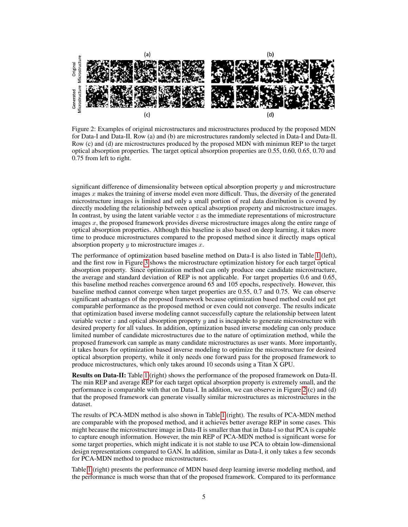

<span id="page-4-0"></span>Figure 2: Examples of original microstructures and microstructures produced by the proposed MDN for Data-I and Data-II. Row (a) and (b) are microstructures randomly selected in Data-I and Data-II. Row (c) and (d) are microstructures produced by the proposed MDN with minimun REP to the target optical absorption properties. The target optical absorption properties are 0.55, 0.60, 0.65, 0.70 and 0.75 from left to right.

significant difference of dimensionality between optical absorption property  $y$  and microstructure images  $x$  makes the training of inverse model even more difficult. Thus, the diversity of the generated microstructure images is limited and only a small portion of real data distribution is covered by directly modeling the relationship between optical absorption property and microstructure images. In contrast, by using the latent variable vector  $z$  as the immediate representations of microstructure images  $x$ , the proposed framework provides diverse microstructure images along the entire range of optical absorption properties. Although this baseline is also based on deep learning, it takes more time to produce microstructures compared to the proposed method since it directly maps optical absorption property  $y$  to microstructure images  $x$ .

The performance of optimization based baseline method on Data-I is also listed in Table [1](#page-3-0) (left), and the first row in Figure [3](#page-5-1) shows the microstructure optimization history for each target optical absorption property. Since optimization method can only produce one candidate microstructure, the average and standard deviation of REP is not applicable. For target properties 0.6 and 0.65, this baseline method reaches convergence around 65 and 105 epochs, respectively. However, this baseline method cannot converge when target properties are 0.55, 0.7 and 0.75. We can observe significant advantages of the proposed framework because optimization based method could not get comparable performance as the proposed method or even could not converge. The results indicate that optimization based inverse modeling cannot successfully capture the relationship between latent variable vector  $z$  and optical absorption property  $y$  and is incapable to generate microstructure with desired property for all values. In addition, optimization based inverse modeling can only produce limited number of candidate microstructures due to the nature of optimization method, while the proposed framework can sample as many candidate microstructures as user wants. More importantly, it takes hours for optimization based inverse modeling to optimize the microstructure for desired optical absorption property, while it only needs one forward pass for the proposed framework to produce microstructures, which only takes around 10 seconds using a Titan X GPU.

Results on Data-II: Table [1](#page-3-0) (right) shows the performance of the proposed framework on Data-II. The min REP and average REP for each target optical absorption property is extremely small, and the performance is comparable with that on Data-I. In addition, we can observe in Figure [2](#page-4-0) (c) and (d) that the proposed framework can generate visually similar microstructures as microstructures in the dataset.

The results of PCA-MDN method is also shown in Table [1](#page-3-0) (right). The results of PCA-MDN method are comparable with the proposed method, and it achieves better average REP in some cases. This might because the microstructure image in Data-II is smaller than that in Data-I so that PCA is capable to capture enough information. However, the min REP of PCA-MDN method is significant worse for some target properties, which might indicate it is not stable to use PCA to obtain low-dimensional design representations compared to GAN. In addition, similar as Data-I, it only takes a few seconds for PCA-MDN method to produce microstructures.

Table [1](#page-3-0) (right) presents the performance of MDN based deep learning inverse modeling method, and the performance is much worse than that of the proposed framework. Compared to its performance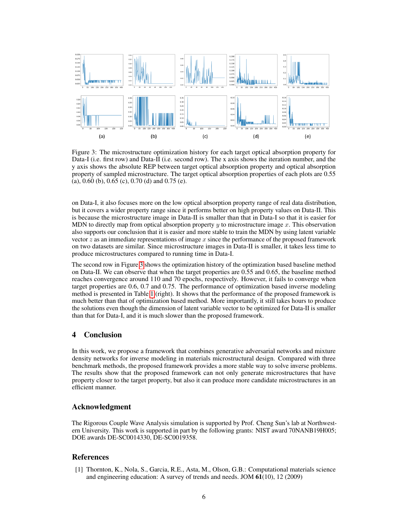

<span id="page-5-1"></span>Figure 3: The microstructure optimization history for each target optical absorption property for Data-I (i.e. first row) and Data-II (i.e. second row). The x axis shows the iteration number, and the y axis shows the absolute REP between target optical absorption property and optical absorption property of sampled microstructure. The target optical absorption properties of each plots are 0.55 (a), 0.60 (b), 0.65 (c), 0.70 (d) and 0.75 (e).

on Data-I, it also focuses more on the low optical absorption property range of real data distribution, but it covers a wider property range since it performs better on high property values on Data-II. This is because the microstructure image in Data-II is smaller than that in Data-I so that it is easier for MDN to directly map from optical absorption property  $y$  to microstructure image x. This observation also supports our conclusion that it is easier and more stable to train the MDN by using latent variable vector  $z$  as an immediate representations of image  $x$  since the performance of the proposed framework on two datasets are similar. Since microstructure images in Data-II is smaller, it takes less time to produce microstructures compared to running time in Data-I.

The second row in Figure [3](#page-5-1) shows the optimization history of the optimization based baseline method on Data-II. We can observe that when the target properties are 0.55 and 0.65, the baseline method reaches convergence around 110 and 70 epochs, respectively. However, it fails to converge when target properties are 0.6, 0.7 and 0.75. The performance of optimization based inverse modeling method is presented in Table [1](#page-3-0) (right). It shows that the performance of the proposed framework is much better than that of optimization based method. More importantly, it still takes hours to produce the solutions even though the dimension of latent variable vector to be optimized for Data-II is smaller than that for Data-I, and it is much slower than the proposed framework.

## 4 Conclusion

In this work, we propose a framework that combines generative adversarial networks and mixture density networks for inverse modeling in materials microstructural design. Compared with three benchmark methods, the proposed framework provides a more stable way to solve inverse problems. The results show that the proposed framework can not only generate microstructures that have property closer to the target property, but also it can produce more candidate microstructures in an efficient manner.

## Acknowledgment

The Rigorous Couple Wave Analysis simulation is supported by Prof. Cheng Sun's lab at Northwestern University. This work is supported in part by the following grants: NIST award 70NANB19H005; DOE awards DE-SC0014330, DE-SC0019358.

## References

<span id="page-5-0"></span>[1] Thornton, K., Nola, S., Garcia, R.E., Asta, M., Olson, G.B.: Computational materials science and engineering education: A survey of trends and needs. JOM 61(10), 12 (2009)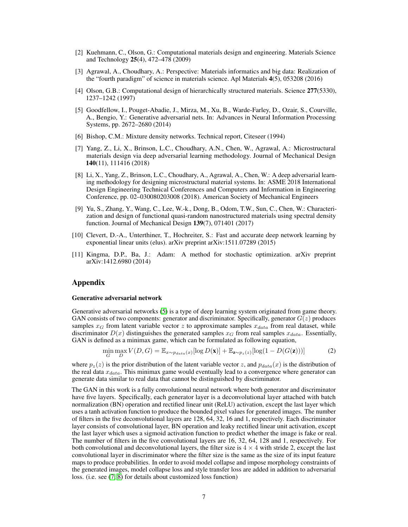- <span id="page-6-0"></span>[2] Kuehmann, C., Olson, G.: Computational materials design and engineering. Materials Science and Technology 25(4), 472–478 (2009)
- <span id="page-6-1"></span>[3] Agrawal, A., Choudhary, A.: Perspective: Materials informatics and big data: Realization of the "fourth paradigm" of science in materials science. Apl Materials 4(5), 053208 (2016)
- <span id="page-6-2"></span>[4] Olson, G.B.: Computational design of hierarchically structured materials. Science 277(5330), 1237–1242 (1997)
- <span id="page-6-3"></span>[5] Goodfellow, I., Pouget-Abadie, J., Mirza, M., Xu, B., Warde-Farley, D., Ozair, S., Courville, A., Bengio, Y.: Generative adversarial nets. In: Advances in Neural Information Processing Systems, pp. 2672–2680 (2014)
- <span id="page-6-4"></span>[6] Bishop, C.M.: Mixture density networks. Technical report, Citeseer (1994)
- <span id="page-6-5"></span>[7] Yang, Z., Li, X., Brinson, L.C., Choudhary, A.N., Chen, W., Agrawal, A.: Microstructural materials design via deep adversarial learning methodology. Journal of Mechanical Design 140(11), 111416 (2018)
- <span id="page-6-6"></span>[8] Li, X., Yang, Z., Brinson, L.C., Choudhary, A., Agrawal, A., Chen, W.: A deep adversarial learning methodology for designing microstructural material systems. In: ASME 2018 International Design Engineering Technical Conferences and Computers and Information in Engineering Conference, pp. 02–030080203008 (2018). American Society of Mechanical Engineers
- <span id="page-6-7"></span>[9] Yu, S., Zhang, Y., Wang, C., Lee, W.-k., Dong, B., Odom, T.W., Sun, C., Chen, W.: Characterization and design of functional quasi-random nanostructured materials using spectral density function. Journal of Mechanical Design 139(7), 071401 (2017)
- <span id="page-6-8"></span>[10] Clevert, D.-A., Unterthiner, T., Hochreiter, S.: Fast and accurate deep network learning by exponential linear units (elus). arXiv preprint arXiv:1511.07289 (2015)
- <span id="page-6-9"></span>[11] Kingma, D.P., Ba, J.: Adam: A method for stochastic optimization. arXiv preprint arXiv:1412.6980 (2014)

## Appendix

#### Generative adversarial network

Generative adversarial networks [\(5\)](#page-6-3) is a type of deep learning system originated from game theory. GAN consists of two components: generator and discriminator. Specifically, generator  $G(z)$  produces samples  $x_G$  from latent variable vector z to approximate samples  $x_{data}$  from real dataset, while discriminator  $D(x)$  distinguishes the generated samples  $x_G$  from real samples  $x_{data}$ . Essentially, GAN is defined as a minimax game, which can be formulated as following equation,

$$
\min_{G} \max_{D} V(D, G) = \mathbb{E}_{x \sim p_{data}(x)} [\log D(\mathbf{x})] + \mathbb{E}_{\mathbf{z} \sim p_{z}(z)} [\log (1 - D(G(\mathbf{z})))] \tag{2}
$$

where  $p_z(z)$  is the prior distribution of the latent variable vector z, and  $p_{data}(x)$  is the distribution of the real data  $x_{data}$ . This minimax game would eventually lead to a convergence where generator can generate data similar to real data that cannot be distinguished by discriminator.

The GAN in this work is a fully convolutional neural network where both generator and discriminator have five layers. Specifically, each generator layer is a deconvolutional layer attached with batch normalization (BN) operation and rectified linear unit (ReLU) activation, except the last layer which uses a tanh activation function to produce the bounded pixel values for generated images. The number of filters in the five deconvolutional layers are 128, 64, 32, 16 and 1, respectively. Each discriminator layer consists of convolutional layer, BN operation and leaky rectified linear unit activation, except the last layer which uses a sigmoid activation function to predict whether the image is fake or real. The number of filters in the five convolutional layers are 16, 32, 64, 128 and 1, respectively. For both convolutional and deconvolutional layers, the filter size is  $4 \times 4$  with stride 2, except the last convolutional layer in discriminator where the filter size is the same as the size of its input feature maps to produce probabilities. In order to avoid model collapse and impose morphology constraints of the generated images, model collapse loss and style transfer loss are added in addition to adversarial loss. (i.e. see [\(7;](#page-6-5) [8\)](#page-6-6) for details about customized loss function)